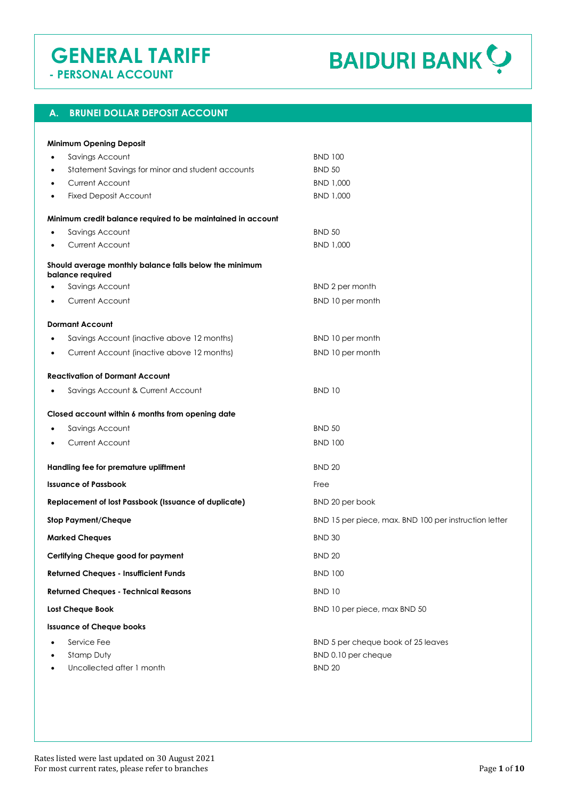# **GENERAL TARIFF**

**BAIDURI BANK ?** 

 **- PERSONAL ACCOUNT**

# **A. BRUNEI DOLLAR DEPOSIT ACCOUNT**

| <b>Minimum Opening Deposit</b>                                             |                                                       |
|----------------------------------------------------------------------------|-------------------------------------------------------|
| Savings Account<br>٠                                                       | <b>BND 100</b>                                        |
| Statement Savings for minor and student accounts<br>٠                      | <b>BND 50</b>                                         |
| Current Account<br>٠                                                       | BND 1,000                                             |
| <b>Fixed Deposit Account</b><br>٠                                          | BND 1,000                                             |
| Minimum credit balance required to be maintained in account                |                                                       |
| Savings Account                                                            | <b>BND 50</b>                                         |
| <b>Current Account</b>                                                     | BND 1,000                                             |
| Should average monthly balance falls below the minimum<br>balance required |                                                       |
| Savings Account                                                            | BND 2 per month                                       |
| Current Account                                                            | BND 10 per month                                      |
| <b>Dormant Account</b>                                                     |                                                       |
| Savings Account (inactive above 12 months)                                 | BND 10 per month                                      |
| Current Account (inactive above 12 months)<br>٠                            | BND 10 per month                                      |
| <b>Reactivation of Dormant Account</b>                                     |                                                       |
| Savings Account & Current Account<br>٠                                     | <b>BND 10</b>                                         |
| Closed account within 6 months from opening date                           |                                                       |
| Savings Account                                                            | <b>BND 50</b>                                         |
| Current Account                                                            | <b>BND 100</b>                                        |
| Handling fee for premature upliftment                                      | <b>BND 20</b>                                         |
| <b>Issuance of Passbook</b>                                                | Free                                                  |
| <b>Replacement of lost Passbook (Issuance of duplicate)</b>                | BND 20 per book                                       |
| <b>Stop Payment/Cheque</b>                                                 | BND 15 per piece, max. BND 100 per instruction letter |
| <b>Marked Cheques</b>                                                      | <b>BND 30</b>                                         |
| Certifying Cheque good for payment                                         | <b>BND 20</b>                                         |
| <b>Returned Cheques - Insufficient Funds</b>                               | <b>BND 100</b>                                        |
| <b>Returned Cheques - Technical Reasons</b>                                | <b>BND 10</b>                                         |
| <b>Lost Cheque Book</b>                                                    | BND 10 per piece, max BND 50                          |
| <b>Issuance of Cheque books</b>                                            |                                                       |
| Service Fee                                                                | BND 5 per cheque book of 25 leaves                    |
| Stamp Duty                                                                 | BND 0.10 per cheque                                   |
| Uncollected after 1 month                                                  | <b>BND 20</b>                                         |
|                                                                            |                                                       |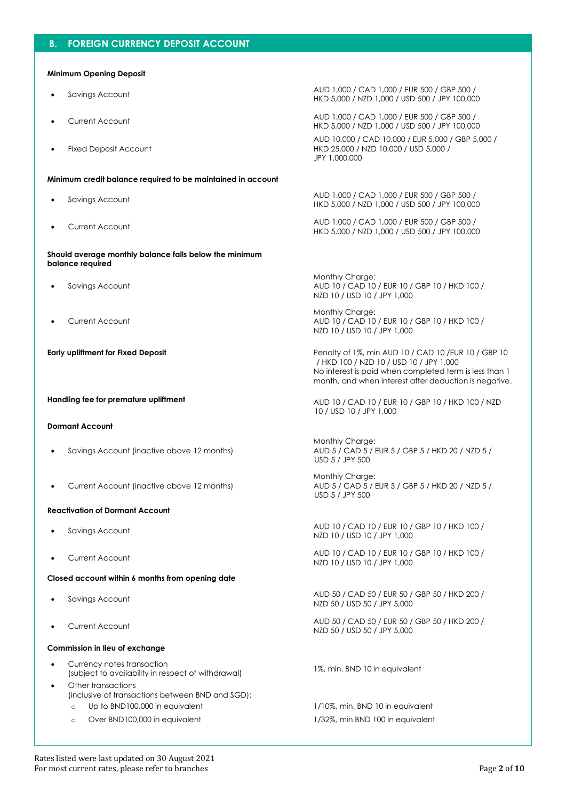## **B. FOREIGN CURRENCY DEPOSIT ACCOUNT**

#### **Minimum Opening Deposit**

- 
- 
- **Fixed Deposit Account**

#### **Minimum credit balance required to be maintained in account**

- 
- 

**Should average monthly balance falls below the minimum balance required**

- Savings Account
- Current Account

#### **Dormant Account**

- Savings Account (inactive above 12 months)
- Current Account (inactive above 12 months)

#### **Reactivation of Dormant Account**

- 
- 

#### **Closed account within 6 months from opening date**

- 
- 

#### **Commission in lieu of exchange**

- Currency notes transaction (subject to availability in respect of withdrawal) 1%, min. BND 10 in equivalent
- Other transactions (inclusive of transactions between BND and SGD):
	-
	- o Over BND100,000 in equivalent 1/32%, min BND 100 in equivalent

• Savings Account AUD 1,000 / CAD 1,000 / EUR 500 / GBP 500 / HKD 5,000 / NZD 1,000 / USD 500 / JPY 100,000

• Current Account AUD 1,000 / CAD 1,000 / EUR 500 / GBP 500 / HKD 5,000 / NZD 1,000 / USD 500 / JPY 100,000 AUD 10,000 / CAD 10,000 / EUR 5,000 / GBP 5,000 / HKD 25,000 / NZD 10,000 / USD 5,000 / JPY 1,000,000

• Savings Account AUD 1,000 / CAD 1,000 / EUR 500 / GBP 500 / HKD 5,000 / NZD 1,000 / USD 500 / JPY 100,000

• Current Account AUD 1,000 / CAD 1,000 / EUR 500 / GBP 500 / HKD 5,000 / NZD 1,000 / USD 500 / JPY 100,000

> Monthly Charge: AUD 10 / CAD 10 / EUR 10 / GBP 10 / HKD 100 / NZD 10 / USD 10 / JPY 1,000

> Monthly Charge: AUD 10 / CAD 10 / EUR 10 / GBP 10 / HKD 100 / NZD 10 / USD 10 / JPY 1,000

**Early upliftment for Fixed Deposit Penalty of 1%, min AUD 10 / CAD 10 / EUR 10 / GBP 10**  / HKD 100 / NZD 10 / USD 10 / JPY 1,000 No interest is paid when completed term is less than 1 month, and when interest after deduction is negative.

**Handling fee for premature upliftment AUD 10 / CAD 10 / EUR 10 / GBP 10 / HKD 100 / NZD** 10 / USD 10 / JPY 1,000

> Monthly Charge: AUD 5 / CAD 5 / EUR 5 / GBP 5 / HKD 20 / NZD 5 / USD 5 / JPY 500

> Monthly Charge: AUD 5 / CAD 5 / EUR 5 / GBP 5 / HKD 20 / NZD 5 / USD 5 / JPY 500

• Savings Account AUD 10 / CAD 10 / EUR 10 / GBP 10 / HKD 100 / NZD 10 / USD 10 / JPY 1,000

• Current Account AUD 10 / CAD 10 / EUR 10 / GBP 10 / HKD 100 / NZD 10 / USD 10 / JPY 1,000

• Savings Account AUD 50 / CAD 50 / EUR 50 / GBP 50 / HKD 200 / NZD 50 / USD 50 / JPY 5,000

• Current Account AUD 50 / CAD 50 / EUR 50 / GBP 50 / HKD 200 / NZD 50 / USD 50 / JPY 5,000

o Up to BND100,000 in equivalent 1/10%, min. BND 10 in equivalent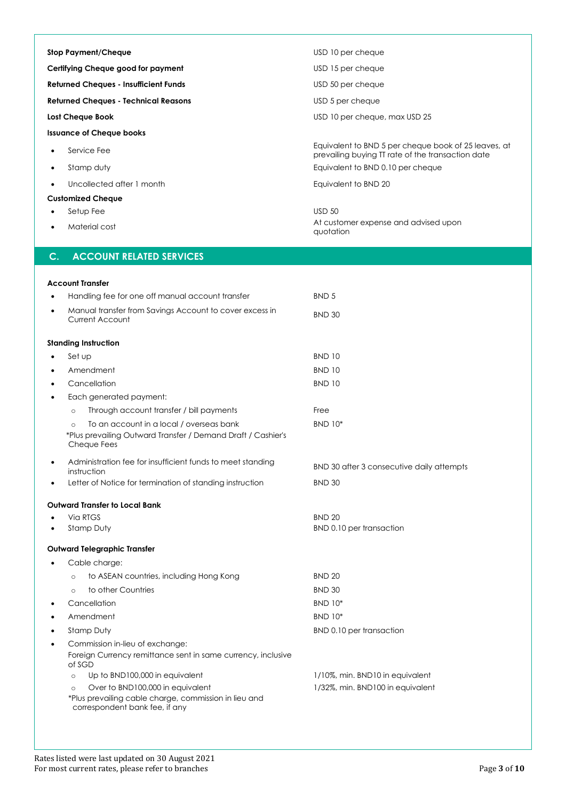| <b>Stop Payment/Cheque</b>                   | USD 10 per cheque                                                                                         |
|----------------------------------------------|-----------------------------------------------------------------------------------------------------------|
| Certifying Cheque good for payment           | USD 15 per cheque                                                                                         |
| <b>Returned Cheques - Insufficient Funds</b> | USD 50 per cheque                                                                                         |
| <b>Returned Cheques - Technical Reasons</b>  | USD 5 per cheque                                                                                          |
| Lost Cheque Book                             | USD 10 per cheque, max USD 25                                                                             |
| <b>Issuance of Cheque books</b>              |                                                                                                           |
| Service Fee<br>٠                             | Equivalent to BND 5 per cheque book of 25 leaves, at<br>prevailing buying TT rate of the transaction date |
| Stamp duty<br>٠                              | Equivalent to BND 0.10 per cheque                                                                         |
| Uncollected after 1 month<br>$\bullet$       | Equivalent to BND 20                                                                                      |
| <b>Customized Cheque</b>                     |                                                                                                           |
| Setup Fee<br>٠                               | <b>USD 50</b>                                                                                             |
| Material cost<br>٠                           | At customer expense and advised upon<br>quotation                                                         |

## **C. ACCOUNT RELATED SERVICES**

|           | <b>Account Transfer</b>                                                                                                            |                                           |
|-----------|------------------------------------------------------------------------------------------------------------------------------------|-------------------------------------------|
|           | Handling fee for one off manual account transfer                                                                                   | BND <sub>5</sub>                          |
| $\bullet$ | Manual transfer from Savings Account to cover excess in<br><b>Current Account</b>                                                  | <b>BND 30</b>                             |
|           | <b>Standing Instruction</b>                                                                                                        |                                           |
|           | Set up                                                                                                                             | <b>BND 10</b>                             |
| $\bullet$ | Amendment                                                                                                                          | <b>BND 10</b>                             |
|           | Cancellation                                                                                                                       | <b>BND 10</b>                             |
| $\bullet$ | Each generated payment:                                                                                                            |                                           |
|           | Through account transfer / bill payments<br>$\circ$                                                                                | Free                                      |
|           | To an account in a local / overseas bank<br>$\circ$<br>*Plus prevailing Outward Transfer / Demand Draft / Cashier's<br>Cheque Fees | <b>BND 10*</b>                            |
| $\bullet$ | Administration fee for insufficient funds to meet standing<br>instruction                                                          | BND 30 after 3 consecutive daily attempts |
|           | Letter of Notice for termination of standing instruction                                                                           | <b>BND 30</b>                             |
|           | Outward Transfer to Local Bank                                                                                                     |                                           |
|           | Via RTGS                                                                                                                           | <b>BND 20</b>                             |
|           | Stamp Duty                                                                                                                         | BND 0.10 per transaction                  |
|           | <b>Outward Telegraphic Transfer</b>                                                                                                |                                           |
|           | Cable charge:                                                                                                                      |                                           |
|           | to ASEAN countries, including Hong Kong<br>$\circ$                                                                                 | <b>BND 20</b>                             |
|           | to other Countries<br>$\Omega$                                                                                                     | <b>BND 30</b>                             |
| $\bullet$ | Cancellation                                                                                                                       | <b>BND 10*</b>                            |
| $\bullet$ | Amendment                                                                                                                          | <b>BND 10*</b>                            |
| $\bullet$ | Stamp Duty                                                                                                                         | BND 0.10 per transaction                  |
| $\bullet$ | Commission in-lieu of exchange:<br>Foreign Currency remittance sent in same currency, inclusive<br>of SGD                          |                                           |
|           | Up to BND100,000 in equivalent<br>$\circ$                                                                                          | 1/10%, min. BND10 in equivalent           |
|           | Over to BND100,000 in equivalent<br>$\circ$                                                                                        | 1/32%, min. BND100 in equivalent          |
|           | *Plus prevailing cable charge, commission in lieu and<br>correspondent bank fee, if any                                            |                                           |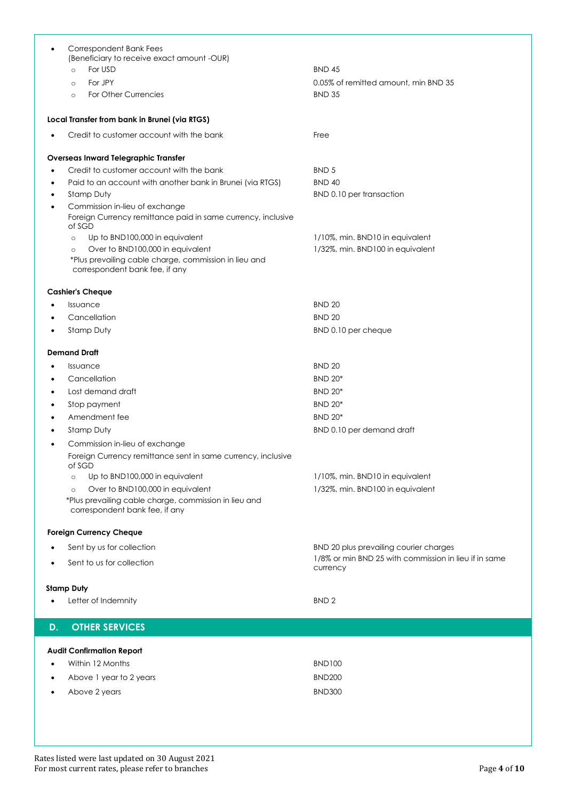| ٠         | <b>Correspondent Bank Fees</b>                                                          |                                                       |
|-----------|-----------------------------------------------------------------------------------------|-------------------------------------------------------|
|           | (Beneficiary to receive exact amount -OUR)<br>For USD<br>$\circ$                        | <b>BND 45</b>                                         |
|           |                                                                                         |                                                       |
|           | For JPY<br>$\circ$<br>For Other Currencies                                              | 0.05% of remitted amount, min BND 35<br><b>BND 35</b> |
|           | $\circ$                                                                                 |                                                       |
|           | Local Transfer from bank in Brunei (via RTGS)                                           |                                                       |
|           |                                                                                         |                                                       |
|           | Credit to customer account with the bank                                                | Free                                                  |
|           | <b>Overseas Inward Telegraphic Transfer</b>                                             |                                                       |
| $\bullet$ | Credit to customer account with the bank                                                | BND <sub>5</sub>                                      |
| $\bullet$ | Paid to an account with another bank in Brunei (via RTGS)                               | <b>BND 40</b>                                         |
|           | Stamp Duty                                                                              | BND 0.10 per transaction                              |
| ٠         | Commission in-lieu of exchange                                                          |                                                       |
|           | Foreign Currency remittance paid in same currency, inclusive                            |                                                       |
|           | of SGD                                                                                  |                                                       |
|           | Up to BND100,000 in equivalent<br>$\circ$                                               | 1/10%, min. BND10 in equivalent                       |
|           | Over to BND100,000 in equivalent<br>$\circ$                                             | 1/32%, min. BND100 in equivalent                      |
|           | *Plus prevailing cable charge, commission in lieu and<br>correspondent bank fee, if any |                                                       |
|           |                                                                                         |                                                       |
|           | <b>Cashier's Cheque</b>                                                                 |                                                       |
|           | Issuance                                                                                | <b>BND 20</b>                                         |
|           | Cancellation                                                                            | <b>BND 20</b>                                         |
|           | Stamp Duty                                                                              | BND 0.10 per cheque                                   |
|           |                                                                                         |                                                       |
|           | <b>Demand Draft</b>                                                                     |                                                       |
|           | Issuance                                                                                | <b>BND 20</b>                                         |
| $\bullet$ | Cancellation                                                                            | <b>BND 20*</b>                                        |
| $\bullet$ | Lost demand draft                                                                       | <b>BND 20*</b>                                        |
|           | Stop payment                                                                            | <b>BND 20*</b>                                        |
|           | Amendment fee                                                                           | <b>BND 20*</b>                                        |
|           | Stamp Duty                                                                              | BND 0.10 per demand draft                             |
|           | Commission in-lieu of exchange                                                          |                                                       |
|           | Foreign Currency remittance sent in same currency, inclusive<br>of SGD                  |                                                       |
|           | Up to BND100,000 in equivalent<br>$\circ$                                               | 1/10%, min. BND10 in equivalent                       |
|           | Over to BND100,000 in equivalent<br>$\circ$                                             | 1/32%, min. BND100 in equivalent                      |
|           | *Plus prevailing cable charge, commission in lieu and<br>correspondent bank fee, if any |                                                       |
|           |                                                                                         |                                                       |
|           | <b>Foreign Currency Cheque</b>                                                          |                                                       |
|           | Sent by us for collection                                                               | BND 20 plus prevailing courier charges                |
|           | Sent to us for collection                                                               | 1/8% or min BND 25 with commission in lieu if in same |
|           |                                                                                         | currency                                              |
|           | <b>Stamp Duty</b>                                                                       |                                                       |
|           | Letter of Indemnity                                                                     | BND <sub>2</sub>                                      |
|           |                                                                                         |                                                       |
| D.        | <b>OTHER SERVICES</b>                                                                   |                                                       |
|           |                                                                                         |                                                       |
|           | <b>Audit Confirmation Report</b>                                                        |                                                       |
|           | Within 12 Months                                                                        | <b>BND100</b>                                         |
|           | Above 1 year to 2 years                                                                 | <b>BND200</b>                                         |
|           | Above 2 years                                                                           | <b>BND300</b>                                         |
|           |                                                                                         |                                                       |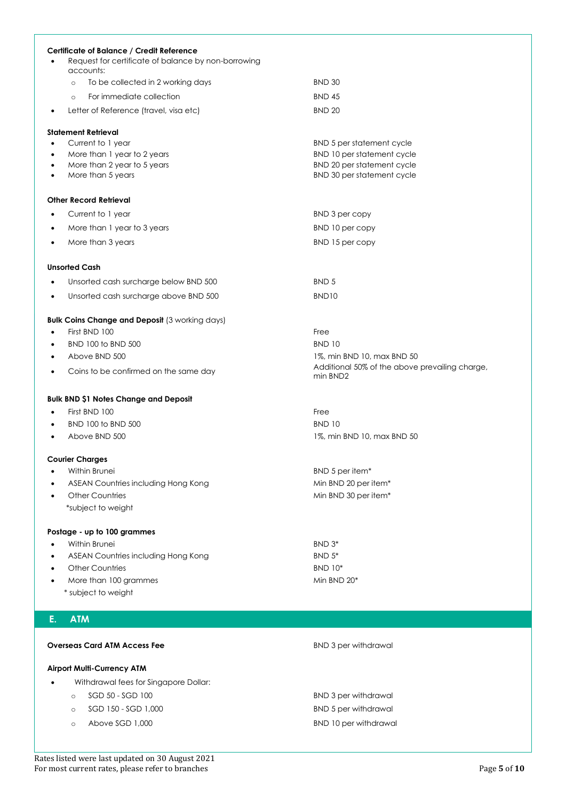|           | Certificate of Balance / Credit Reference<br>Request for certificate of balance by non-borrowing |                                                                              |
|-----------|--------------------------------------------------------------------------------------------------|------------------------------------------------------------------------------|
|           | accounts:                                                                                        |                                                                              |
|           | To be collected in 2 working days<br>$\circ$                                                     | <b>BND 30</b>                                                                |
|           | For immediate collection<br>$\circ$                                                              | <b>BND 45</b>                                                                |
| ٠         | Letter of Reference (travel, visa etc)                                                           | <b>BND 20</b>                                                                |
|           | <b>Statement Retrieval</b>                                                                       |                                                                              |
| ٠         | Current to 1 year                                                                                | BND 5 per statement cycle                                                    |
| ٠         | More than 1 year to 2 years                                                                      | BND 10 per statement cycle                                                   |
| ٠<br>٠    | More than 2 year to 5 years<br>More than 5 years                                                 | BND 20 per statement cycle<br>BND 30 per statement cycle                     |
|           |                                                                                                  |                                                                              |
|           | <b>Other Record Retrieval</b>                                                                    |                                                                              |
| $\bullet$ | Current to 1 year                                                                                | BND 3 per copy                                                               |
| ٠         | More than 1 year to 3 years                                                                      | BND 10 per copy                                                              |
| $\bullet$ | More than 3 years                                                                                | BND 15 per copy                                                              |
|           | <b>Unsorted Cash</b>                                                                             |                                                                              |
| $\bullet$ | Unsorted cash surcharge below BND 500                                                            | BND <sub>5</sub>                                                             |
| ٠         | Unsorted cash surcharge above BND 500                                                            | BND <sub>10</sub>                                                            |
|           |                                                                                                  |                                                                              |
|           | <b>Bulk Coins Change and Deposit (3 working days)</b>                                            |                                                                              |
| $\bullet$ | First BND 100                                                                                    | Free                                                                         |
| ٠         | BND 100 to BND 500                                                                               | <b>BND 10</b>                                                                |
| ٠         | Above BND 500                                                                                    | 1%, min BND 10, max BND 50<br>Additional 50% of the above prevailing charge, |
| ٠         | Coins to be confirmed on the same day                                                            | min BND2                                                                     |
|           | <b>Bulk BND \$1 Notes Change and Deposit</b>                                                     |                                                                              |
| ٠         | First BND 100                                                                                    | Free                                                                         |
| ٠         | BND 100 to BND 500                                                                               | <b>BND 10</b>                                                                |
| ٠         | Above BND 500                                                                                    | 1%, min BND 10, max BND 50                                                   |
|           | <b>Courier Charges</b>                                                                           |                                                                              |
|           | Within Brunei                                                                                    | BND 5 per item*                                                              |
|           | ASEAN Countries including Hong Kong                                                              | Min BND 20 per item*                                                         |
|           | <b>Other Countries</b>                                                                           | Min BND 30 per item*                                                         |
|           | *subject to weight                                                                               |                                                                              |
|           | Postage - up to 100 grammes                                                                      |                                                                              |
|           | Within Brunei                                                                                    | BND 3*                                                                       |
|           | ASEAN Countries including Hong Kong                                                              | BND 5*                                                                       |
|           | <b>Other Countries</b>                                                                           | <b>BND 10*</b>                                                               |
|           | More than 100 grammes                                                                            | Min BND 20*                                                                  |
|           | * subject to weight                                                                              |                                                                              |
| Е.        | <b>ATM</b>                                                                                       |                                                                              |
|           |                                                                                                  |                                                                              |
|           | <b>Overseas Card ATM Access Fee</b>                                                              | <b>BND 3 per withdrawal</b>                                                  |
|           | <b>Airport Multi-Currency ATM</b>                                                                |                                                                              |
|           | Withdrawal fees for Singapore Dollar:                                                            |                                                                              |
|           | SGD 50 - SGD 100<br>$\circ$                                                                      | <b>BND 3 per withdrawal</b>                                                  |
|           | SGD 150 - SGD 1,000<br>$\circ$                                                                   | <b>BND 5 per withdrawal</b>                                                  |
|           | Above SGD 1,000<br>$\circ$                                                                       | <b>BND 10 per withdrawal</b>                                                 |
|           |                                                                                                  |                                                                              |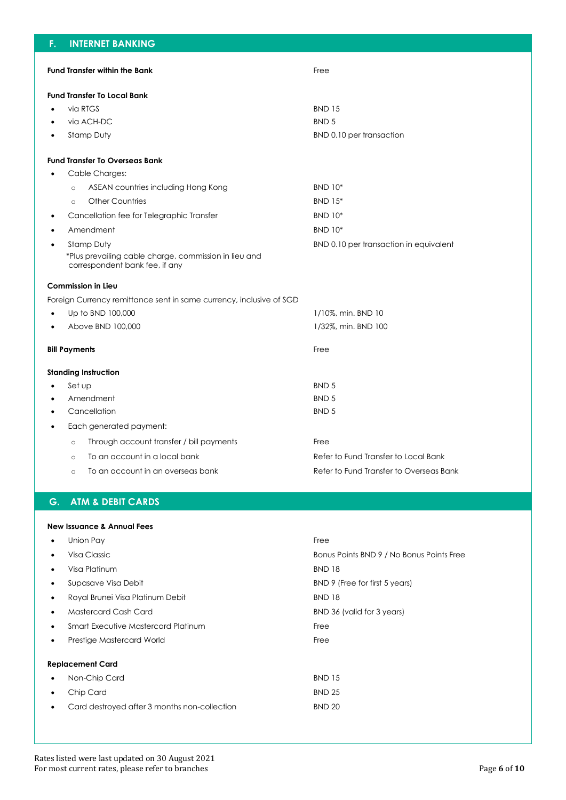| F.        | <b>INTERNET BANKING</b>                                                                 |                                         |
|-----------|-----------------------------------------------------------------------------------------|-----------------------------------------|
|           | <b>Fund Transfer within the Bank</b>                                                    | Free                                    |
|           |                                                                                         |                                         |
|           | <b>Fund Transfer To Local Bank</b>                                                      |                                         |
|           | via RTGS                                                                                | <b>BND 15</b>                           |
|           | via ACH-DC                                                                              | <b>BND 5</b>                            |
| $\bullet$ | <b>Stamp Duty</b>                                                                       | BND 0.10 per transaction                |
|           | <b>Fund Transfer To Overseas Bank</b>                                                   |                                         |
|           | Cable Charges:                                                                          |                                         |
|           | ASEAN countries including Hong Kong<br>$\circ$                                          | <b>BND 10*</b>                          |
|           | <b>Other Countries</b><br>$\circ$                                                       | <b>BND 15*</b>                          |
| $\bullet$ | Cancellation fee for Telegraphic Transfer                                               | <b>BND 10*</b>                          |
|           | Amendment                                                                               | <b>BND 10*</b>                          |
|           | Stamp Duty                                                                              | BND 0.10 per transaction in equivalent  |
|           | *Plus prevailing cable charge, commission in lieu and<br>correspondent bank fee, if any |                                         |
|           | Commission in Lieu                                                                      |                                         |
|           | Foreign Currency remittance sent in same currency, inclusive of SGD                     |                                         |
|           | Up to BND 100,000                                                                       | 1/10%, min. BND 10                      |
|           | Above BND 100,000                                                                       | 1/32%, min. BND 100                     |
|           | <b>Bill Payments</b>                                                                    | Free                                    |
|           | <b>Standing Instruction</b>                                                             |                                         |
|           | Set up                                                                                  | BND <sub>5</sub>                        |
|           | Amendment                                                                               | BND <sub>5</sub>                        |
|           | Cancellation                                                                            | BND <sub>5</sub>                        |
|           | Each generated payment:                                                                 |                                         |
|           | Through account transfer / bill payments<br>$\circ$                                     | Free                                    |
|           | To an account in a local bank<br>$\circ$                                                | Refer to Fund Transfer to Local Bank    |
|           | To an account in an overseas bank<br>$\circ$                                            | Refer to Fund Transfer to Overseas Bank |
|           |                                                                                         |                                         |

# **G. ATM & DEBIT CARDS**

**New Issuance & Annual Fees**

# • Union Pay Free • Visa Classic Bonus Points BND 9 / No Bonus Points Free • Visa Platinum BND 18 • Supasave Visa Debit BND 9 (Free for first 5 years) • Royal Brunei Visa Platinum Debit BND 18 • Mastercard Cash Card BND 36 (valid for 3 years) **Smart Executive Mastercard Platinum Free** • Prestige Mastercard World Free **Replacement Card** • Non-Chip Card BND 15 • Chip Card BND 25 • Card destroyed after 3 months non-collection BND 20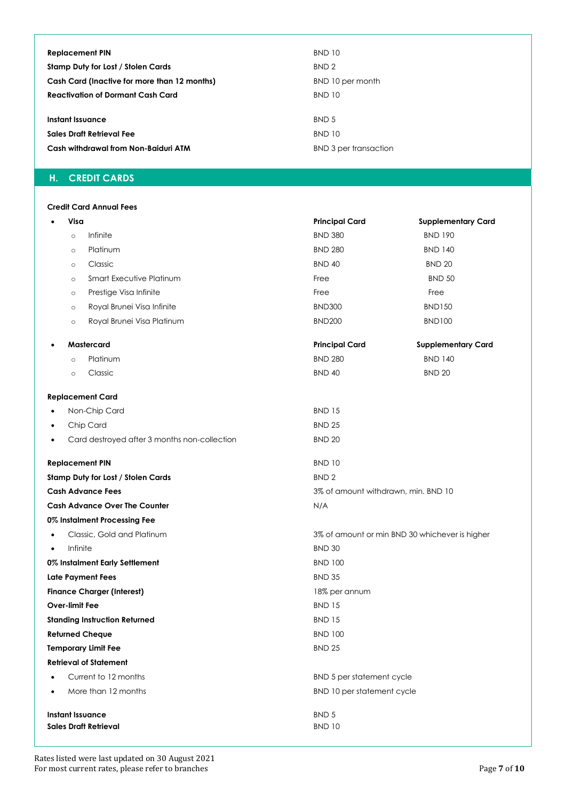| <b>Replacement PIN</b>                       | <b>BND 10</b>                |
|----------------------------------------------|------------------------------|
| <b>Stamp Duty for Lost / Stolen Cards</b>    | BND <sub>2</sub>             |
| Cash Card (Inactive for more than 12 months) | BND 10 per month             |
| <b>Reactivation of Dormant Cash Card</b>     | <b>BND 10</b>                |
|                                              |                              |
| Instant Issuance                             | BND 5                        |
| Sales Draft Retrieval Fee                    | <b>BND 10</b>                |
| Cash withdrawal from Non-Baiduri ATM         | <b>BND 3 per transaction</b> |

## **H. CREDIT CARDS**

## **Credit Card Annual Fees**

|                                         | Visa           |                                              | <b>Principal Card</b>                          | <b>Supplementary Card</b> |  |
|-----------------------------------------|----------------|----------------------------------------------|------------------------------------------------|---------------------------|--|
|                                         | $\circ$        | Infinite                                     | <b>BND 380</b>                                 | <b>BND 190</b>            |  |
|                                         | $\circ$        | Platinum                                     | <b>BND 280</b>                                 | <b>BND 140</b>            |  |
|                                         | $\circ$        | Classic                                      | <b>BND 40</b>                                  | <b>BND 20</b>             |  |
|                                         | $\circ$        | Smart Executive Platinum                     | Free                                           | <b>BND 50</b>             |  |
|                                         | $\circ$        | Prestige Visa Infinite                       | Free                                           | Free                      |  |
|                                         | $\circ$        | Royal Brunei Visa Infinite                   | <b>BND300</b>                                  | <b>BND150</b>             |  |
|                                         | $\circ$        | Royal Brunei Visa Platinum                   | <b>BND200</b>                                  | <b>BND100</b>             |  |
| $\bullet$                               |                | Mastercard                                   | <b>Principal Card</b>                          | <b>Supplementary Card</b> |  |
|                                         | $\circ$        | Platinum                                     | <b>BND 280</b>                                 | <b>BND 140</b>            |  |
|                                         | $\circ$        | Classic                                      | <b>BND 40</b>                                  | <b>BND 20</b>             |  |
|                                         |                | <b>Replacement Card</b>                      |                                                |                           |  |
| $\bullet$                               |                | Non-Chip Card                                | <b>BND 15</b>                                  |                           |  |
| ٠                                       |                | Chip Card                                    | <b>BND 25</b>                                  |                           |  |
| ٠                                       |                | Card destroyed after 3 months non-collection | <b>BND 20</b>                                  |                           |  |
|                                         |                | <b>Replacement PIN</b>                       | <b>BND 10</b>                                  |                           |  |
|                                         |                | Stamp Duty for Lost / Stolen Cards           | BND <sub>2</sub>                               |                           |  |
| <b>Cash Advance Fees</b>                |                |                                              | 3% of amount withdrawn, min. BND 10            |                           |  |
|                                         |                | <b>Cash Advance Over The Counter</b>         | N/A                                            |                           |  |
|                                         |                | 0% Instalment Processing Fee                 |                                                |                           |  |
| Classic, Gold and Platinum<br>$\bullet$ |                |                                              | 3% of amount or min BND 30 whichever is higher |                           |  |
| $\bullet$                               | Infinite       |                                              | <b>BND 30</b>                                  |                           |  |
|                                         |                | 0% Instalment Early Settlement               | <b>BND 100</b>                                 |                           |  |
|                                         |                | <b>Late Payment Fees</b>                     | <b>BND 35</b>                                  |                           |  |
|                                         |                | <b>Finance Charger (Interest)</b>            | 18% per annum                                  |                           |  |
|                                         | Over-limit Fee |                                              | <b>BND 15</b>                                  |                           |  |
|                                         |                | <b>Standing Instruction Returned</b>         | <b>BND 15</b>                                  |                           |  |
| <b>Returned Cheque</b>                  |                |                                              | <b>BND 100</b>                                 |                           |  |
|                                         |                | <b>Temporary Limit Fee</b>                   | <b>BND 25</b>                                  |                           |  |
|                                         |                | <b>Retrieval of Statement</b>                |                                                |                           |  |
|                                         |                | Current to 12 months                         | BND 5 per statement cycle                      |                           |  |
| ٠                                       |                | More than 12 months                          | BND 10 per statement cycle                     |                           |  |
| <b>Instant Issuance</b>                 |                |                                              | BND 5                                          |                           |  |
| <b>Sales Draft Retrieval</b>            |                |                                              | <b>BND 10</b>                                  |                           |  |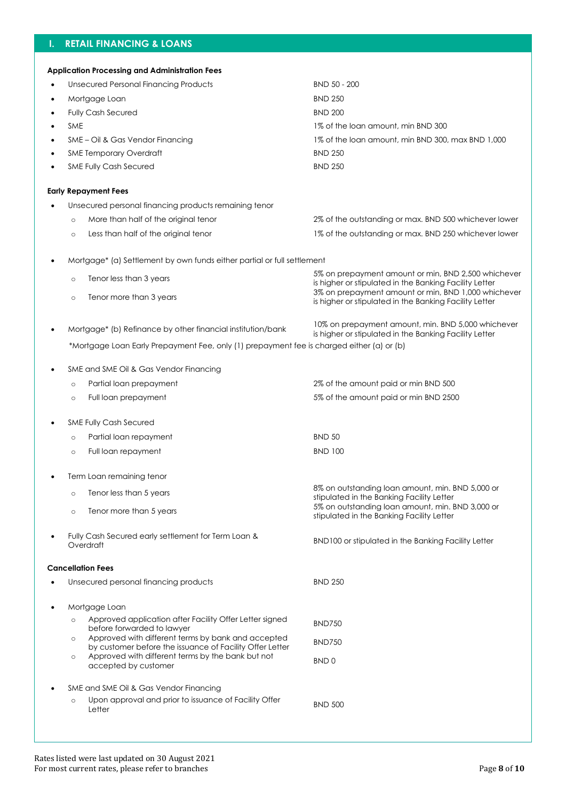## **I. RETAIL FINANCING & LOANS**

|   | <b>Application Processing and Administration Fees</b>                                                                    |                                                                                                                                                                      |
|---|--------------------------------------------------------------------------------------------------------------------------|----------------------------------------------------------------------------------------------------------------------------------------------------------------------|
| ٠ | <b>Unsecured Personal Financing Products</b>                                                                             | <b>BND 50 - 200</b>                                                                                                                                                  |
|   | Mortgage Loan                                                                                                            | <b>BND 250</b>                                                                                                                                                       |
|   | <b>Fully Cash Secured</b>                                                                                                | <b>BND 200</b>                                                                                                                                                       |
|   | <b>SME</b>                                                                                                               | 1% of the loan amount, min BND 300                                                                                                                                   |
|   | SME - Oil & Gas Vendor Financing                                                                                         | 1% of the loan amount, min BND 300, max BND 1,000                                                                                                                    |
|   | <b>SME Temporary Overdraft</b>                                                                                           | <b>BND 250</b>                                                                                                                                                       |
|   | <b>SME Fully Cash Secured</b>                                                                                            | <b>BND 250</b>                                                                                                                                                       |
|   | <b>Early Repayment Fees</b>                                                                                              |                                                                                                                                                                      |
|   | Unsecured personal financing products remaining tenor                                                                    |                                                                                                                                                                      |
|   | More than half of the original tenor<br>$\circ$                                                                          | 2% of the outstanding or max. BND 500 whichever lower                                                                                                                |
|   | Less than half of the original tenor<br>$\circ$                                                                          | 1% of the outstanding or max. BND 250 whichever lower                                                                                                                |
|   | Mortgage* (a) Settlement by own funds either partial or full settlement                                                  |                                                                                                                                                                      |
|   | Tenor less than 3 years<br>$\circ$                                                                                       | 5% on prepayment amount or min, BND 2,500 whichever<br>is higher or stipulated in the Banking Facility Letter<br>3% on prepayment amount or min, BND 1,000 whichever |
|   | Tenor more than 3 years<br>$\circ$                                                                                       | is higher or stipulated in the Banking Facility Letter                                                                                                               |
|   | Mortgage* (b) Refinance by other financial institution/bank                                                              | 10% on prepayment amount, min. BND 5,000 whichever<br>is higher or stipulated in the Banking Facility Letter                                                         |
|   | *Mortgage Loan Early Prepayment Fee, only (1) prepayment fee is charged either (a) or (b)                                |                                                                                                                                                                      |
|   | SME and SME Oil & Gas Vendor Financing                                                                                   |                                                                                                                                                                      |
|   | Partial loan prepayment<br>$\circ$                                                                                       | 2% of the amount paid or min BND 500                                                                                                                                 |
|   | Full loan prepayment<br>$\circ$                                                                                          | 5% of the amount paid or min BND 2500                                                                                                                                |
|   | <b>SME Fully Cash Secured</b>                                                                                            |                                                                                                                                                                      |
|   | Partial loan repayment<br>$\circ$                                                                                        | <b>BND 50</b>                                                                                                                                                        |
|   | Full loan repayment<br>$\circ$                                                                                           | <b>BND 100</b>                                                                                                                                                       |
|   | Term Loan remaining tenor                                                                                                |                                                                                                                                                                      |
|   | Tenor less than 5 years<br>$\circ$                                                                                       | 8% on outstanding loan amount, min. BND 5,000 or<br>stipulated in the Banking Facility Letter                                                                        |
|   | Tenor more than 5 years<br>$\circ$                                                                                       | 5% on outstanding loan amount, min. BND 3,000 or<br>stipulated in the Banking Facility Letter                                                                        |
|   | Fully Cash Secured early settlement for Term Loan &<br>Overdraft                                                         | BND100 or stipulated in the Banking Facility Letter                                                                                                                  |
|   | <b>Cancellation Fees</b>                                                                                                 |                                                                                                                                                                      |
|   | Unsecured personal financing products                                                                                    | <b>BND 250</b>                                                                                                                                                       |
|   | Mortgage Loan                                                                                                            |                                                                                                                                                                      |
|   | Approved application after Facility Offer Letter signed<br>$\circ$<br>before forwarded to lawyer                         | <b>BND750</b>                                                                                                                                                        |
|   | Approved with different terms by bank and accepted<br>$\circ$                                                            | <b>BND750</b>                                                                                                                                                        |
|   | by customer before the issuance of Facility Offer Letter<br>Approved with different terms by the bank but not<br>$\circ$ |                                                                                                                                                                      |
|   | accepted by customer                                                                                                     | BND <sub>0</sub>                                                                                                                                                     |
|   | SME and SME Oil & Gas Vendor Financing                                                                                   |                                                                                                                                                                      |
|   | Upon approval and prior to issuance of Facility Offer<br>$\circ$                                                         | <b>BND 500</b>                                                                                                                                                       |
|   | Letter                                                                                                                   |                                                                                                                                                                      |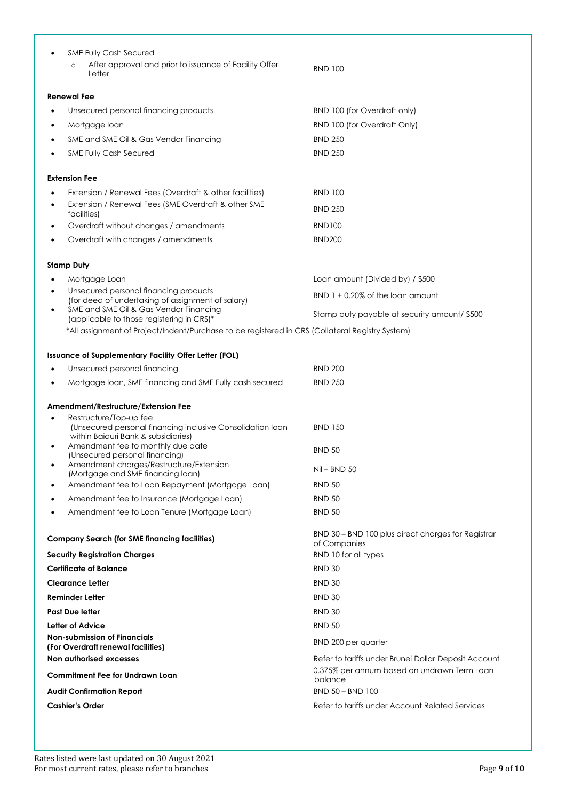|                                        | <b>SME Fully Cash Secured</b><br>After approval and prior to issuance of Facility Offer<br>$\circ$                          |                                                                    |
|----------------------------------------|-----------------------------------------------------------------------------------------------------------------------------|--------------------------------------------------------------------|
|                                        | Letter                                                                                                                      | <b>BND 100</b>                                                     |
|                                        | <b>Renewal Fee</b>                                                                                                          |                                                                    |
|                                        | Unsecured personal financing products                                                                                       | BND 100 (for Overdraft only)                                       |
| ٠                                      | Mortgage loan                                                                                                               | <b>BND 100 (for Overdraft Only)</b>                                |
|                                        | SME and SME Oil & Gas Vendor Financing                                                                                      | <b>BND 250</b>                                                     |
| ٠                                      | <b>SME Fully Cash Secured</b>                                                                                               | <b>BND 250</b>                                                     |
|                                        | <b>Extension Fee</b>                                                                                                        |                                                                    |
|                                        | Extension / Renewal Fees (Overdraft & other facilities)                                                                     | BND 100                                                            |
|                                        | Extension / Renewal Fees (SME Overdraft & other SME<br>facilities)                                                          | <b>BND 250</b>                                                     |
|                                        | Overdraft without changes / amendments                                                                                      | <b>BND100</b>                                                      |
|                                        | Overdraft with changes / amendments                                                                                         | <b>BND200</b>                                                      |
|                                        | <b>Stamp Duty</b>                                                                                                           |                                                                    |
|                                        | Mortgage Loan                                                                                                               | Loan amount (Divided by) / \$500                                   |
| ٠                                      | Unsecured personal financing products<br>(for deed of undertaking of assignment of salary)                                  | $BND$ 1 + 0.20% of the loan amount                                 |
| ٠                                      | SME and SME Oil & Gas Vendor Financing<br>(applicable to those registering in CRS)*                                         | Stamp duty payable at security amount/ \$500                       |
|                                        | *All assignment of Project/Indent/Purchase to be registered in CRS (Collateral Registry System)                             |                                                                    |
|                                        | Issuance of Supplementary Facility Offer Letter (FOL)                                                                       |                                                                    |
|                                        | Unsecured personal financing                                                                                                | <b>BND 200</b>                                                     |
| ٠                                      | Mortgage loan, SME financing and SME Fully cash secured                                                                     | <b>BND 250</b>                                                     |
|                                        | Amendment/Restructure/Extension Fee                                                                                         |                                                                    |
| ٠                                      | Restructure/Top-up fee<br>(Unsecured personal financing inclusive Consolidation loan<br>within Baiduri Bank & subsidiaries) | <b>BND 150</b>                                                     |
| $\bullet$                              | Amendment fee to monthly due date<br>(Unsecured personal financing)<br>Amendment charges/Restructure/Extension              | <b>BND 50</b>                                                      |
|                                        | (Mortgage and SME financing loan)                                                                                           | Nil – BND 50                                                       |
| ٠                                      | Amendment fee to Loan Repayment (Mortgage Loan)                                                                             | <b>BND 50</b>                                                      |
|                                        | Amendment fee to Insurance (Mortgage Loan)                                                                                  | <b>BND 50</b>                                                      |
|                                        | Amendment fee to Loan Tenure (Mortgage Loan)                                                                                | <b>BND 50</b>                                                      |
|                                        | <b>Company Search (for SME financing facilities)</b>                                                                        | BND 30 - BND 100 plus direct charges for Registrar<br>of Companies |
|                                        | <b>Security Registration Charges</b>                                                                                        | BND 10 for all types                                               |
|                                        | <b>Certificate of Balance</b>                                                                                               | <b>BND 30</b>                                                      |
|                                        | <b>Clearance Letter</b>                                                                                                     | <b>BND 30</b>                                                      |
|                                        | Reminder Letter                                                                                                             | <b>BND 30</b>                                                      |
|                                        | <b>Past Due letter</b>                                                                                                      | <b>BND 30</b>                                                      |
|                                        | Letter of Advice                                                                                                            | <b>BND 50</b>                                                      |
|                                        | <b>Non-submission of Financials</b><br>(For Overdraft renewal facilities)                                                   | BND 200 per quarter                                                |
|                                        | Non authorised excesses                                                                                                     | Refer to tariffs under Brunei Dollar Deposit Account               |
| <b>Commitment Fee for Undrawn Loan</b> |                                                                                                                             | 0.375% per annum based on undrawn Term Loan<br>balance             |
| <b>Audit Confirmation Report</b>       |                                                                                                                             | <b>BND 50 - BND 100</b>                                            |
| <b>Cashier's Order</b>                 |                                                                                                                             | Refer to tariffs under Account Related Services                    |